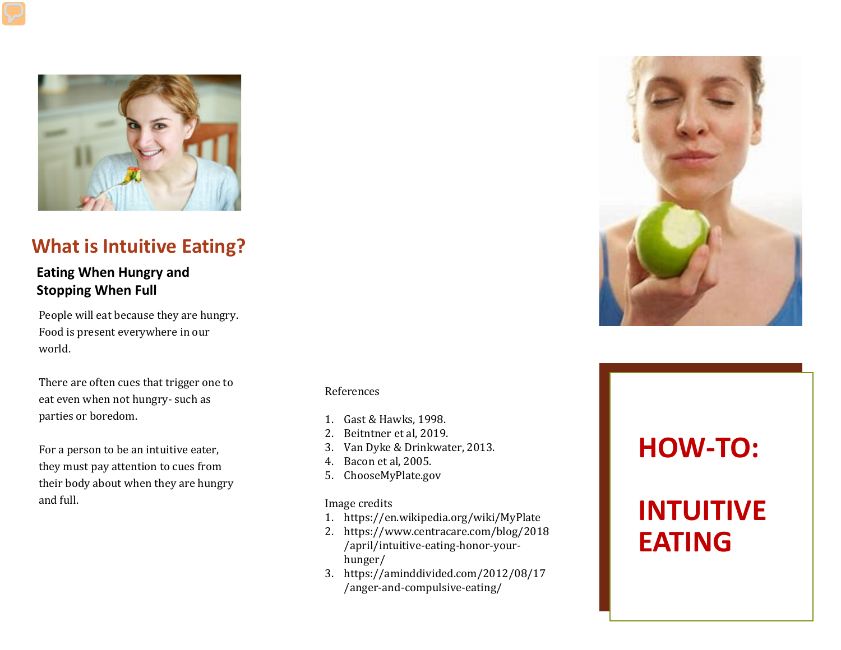

#### **What is Intuitive Eating?**

#### **Eating When Hungry and Stopping When Full**

People will eat because they are hungry. Food is present everywhere in our world.

There are often cues that trigger one to eat even when not hungry- such as parties or boredom.

For a person to be an intuitive eater, they must pay attention to cues from their body about when they are hungry and full.

#### References

- 1. Gast & Hawks, 1998.
- 2. Beitntner et al, 2019.
- 3. Van Dyke & Drinkwater, 2013.
- 4. Bacon et al, 2005.
- 5. ChooseMyPlate.gov

#### Image credits

- 1. https://en.wikipedia.org/wiki/MyPlate
- 2. https://www.centracare.com/blog/2018 /april/intuitive-eating-honor-yourhunger/
- 3. https://aminddivided.com/2012/08/17 /anger-and-compulsive-eating/



# **HOW-TO:**

# **INTUITIVE EATING**